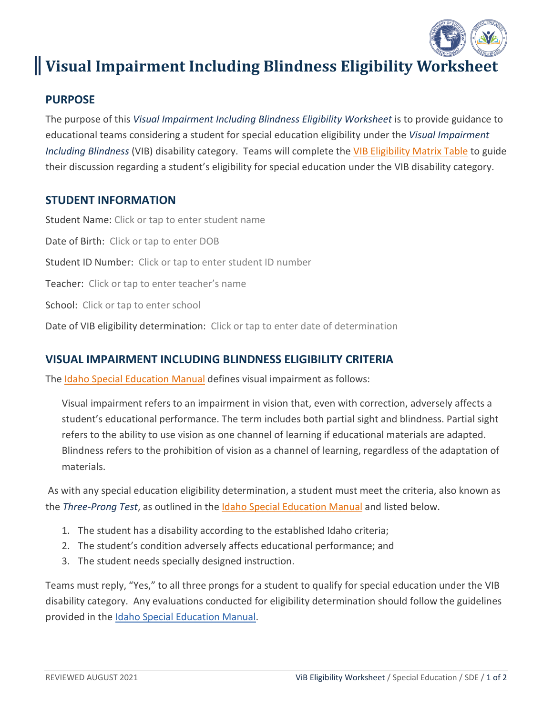

# **Visual Impairment Including Blindness Eligibility Worksheet**

### **PURPOSE**

The purpose of this *Visual Impairment Including Blindness Eligibility Worksheet* is to provide guidance to educational teams considering a student for special education eligibility under the *Visual Impairment Including Blindness* (VIB) disability category. Teams will complete the [VIB Eligibility Matrix Table](#page-1-0) to guide their discussion regarding a student's eligibility for special education under the VIB disability category.

#### **STUDENT INFORMATION**

Student Name: Click or tap to enter student name Date of Birth: Click or tap to enter DOB Student ID Number: Click or tap to enter student ID number Teacher: Click or tap to enter teacher's name School: Click or tap to enter school Date of VIB eligibility determination: Click or tap to enter date of determination

#### **VISUAL IMPAIRMENT INCLUDING BLINDNESS ELIGIBILITY CRITERIA**

The [Idaho Special Education Manual](https://www.sde.idaho.gov/sped/files/shared/Idaho-Special-Education-Manual-2018-Final.pdf) defines visual impairment as follows:

Visual impairment refers to an impairment in vision that, even with correction, adversely affects a student's educational performance. The term includes both partial sight and blindness. Partial sight refers to the ability to use vision as one channel of learning if educational materials are adapted. Blindness refers to the prohibition of vision as a channel of learning, regardless of the adaptation of materials.

As with any special education eligibility determination, a student must meet the criteria, also known as the *Three-Prong Test*, as outlined in the [Idaho Special Education Manual](https://www.sde.idaho.gov/sped/files/shared/Idaho-Special-Education-Manual-2018-Final.pdf) and listed below.

- 1. The student has a disability according to the established Idaho criteria;
- 2. The student's condition adversely affects educational performance; and
- 3. The student needs specially designed instruction.

Teams must reply, "Yes," to all three prongs for a student to qualify for special education under the VIB disability category. Any evaluations conducted for eligibility determination should follow the guidelines provided in the [Idaho Special Education Manual.](https://www.sde.idaho.gov/sped/files/shared/Idaho-Special-Education-Manual-2018-Final.pdf)